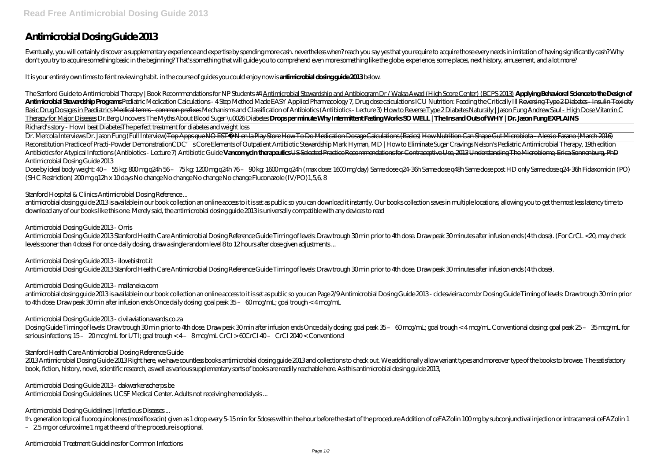# **Antimicrobial Dosing Guide 2013**

Eventually, you will certainly discover a supplementary experience and expertise by spending more cash, nevertheless when? reach you say yes that you require to acquire those every needs in imitation of having significantl don't you try to acquire something basic in the beginning? That's something that will guide you to comprehend even more something like the globe, experience, some places, next history, amusement, and a lot more?

It is your entirely own times to feint reviewing habit. in the course of guides you could enjoy now is **antimicrobial dosing guide 2013** below.

The Sanford Guide to Antimicrobial Therapy / Book Recommendations for NP Students #4 Antimicrobial Stewardship and Antibiogram Dr / Walaa Awad (High Score Center) (BCPS 2013) Applying Behavioral Science to the Design of Antimicrobial Stewardship Programs Pediatric Medication Calculations - 4 Step Method Made EASY Applied Pharmacology 7, Drug dose calculations ICU Nutrition: Feeding the Critically Ill Reversing Type 2 Diabetes - Insulin To Basic Drug Dosages in Paediatrics Medical terms-common prefixes Mechanisms and Classification of Antibiotics (Antibiotics - Lecture 3) How to Reverse Type 2Diabetes Naturally | Jason Fung Andrew Saul - High Dose Vitamin C Therapy for Major Diseases *Dr.Berg Uncovers The Myths About Blood Sugar \u0026 Diabetes* **Drops per minute Why Intermittent Fasting Works SO WELL | The Ins and Outs of WHY | Dr. Jason Fung EXPLAINS** Richard's story - How I beat Diabetes*The perfect treatment for diabetes and weight loss*

Dr. Mercola Interviews Dr. Jason Fung (Full Interview) Top Apps que NO ESTÁN en la Play Store How To Do Medication Dosage Calculations (Basics) How Nutrition Can Shape Gut Microbiota - Alessio Fasano (March 2016) Reconstitution Practice of Practi-Powder DemonstrationCDC' sCore Elements of Outpatient Antibiotic Stewardship Mark Hyman, MD |How to Eliminate Sugar Cravings Nelson's Pediatric Antimicrobial Therapy, 19th edition Antibiotics for Atypical Infections (Antibiotics - Lecture 7) Antibiotic Guide Vanconycintherapeutics USSelected Practice Recommendations for Contraceptive Use, 2013 Understanding The Microbiome, Erica Sonnenburg, PhD *Antimicrobial Dosing Guide 2013*

Dose by ideal body weight: 40 – 55 kg: 800 mg q24h 56 – 75 kg: 1200 mg q24h 76 – 90 kg: 1600 mg q24h (max dose: 1600 mg/day) Same dose q24-36h Same dose q48h Same dose post HD only Same dose q24-36h Fidaxomicin (PO) (SHC Restriction) 200 mg q12h x 10 days No change No change No change No change Fluconazole (IV/PO)1,5,6, 8

antimicrobial dosing guide 2013 is available in our book collection an online access to it isset as public so you can download it instantly. Our books collection saves in multiple locations, allowing you to get the most le download any of our books like this one. Merely said, the antimicrobial dosing guide 2013 is universally compatible with any devices to read

antimicrobial dosing guide 2013 is available in our book collection an online access to it is set as public so you can Page 2/9 Antimicrobial Dosing Guide 2013- ciclesvieira com br Dosing Guide Timing of levels. Draw troug to 4th dose. Draw peak 30 min after infusion ends Once daily dosing: goal peak 35 – 60 mcg/mL; goal trough < 4 mcg/mL

2013 Antimicrobial Dosing Guide 2013 Right here, we have countless books antimicrobial dosing guide 2013 and collections to check out. We additionally allow variant types and moreover type of the books to browse. The satis book, fiction, history, novel, scientific research, as well as various supplementary sorts of books are readily reachable here. As this antimicrobial dosing guide 2013,

## *Stanford Hospital & Clinics Antimicrobial Dosing Reference ...*

## *Antimicrobial Dosing Guide 2013 - Orris*

Antimicrobial Dosing Guide 2013 Stanford Health Care Antimicrobial Dosing Reference Guide Timing of levels: Draw trough 30 min prior to 4th dose. Draw peak 30 minutes after infusion ends (4 th dose). (For CrCL <20, may check levels sooner than 4 dose) For once-daily dosing, draw a single random level 8 to 12 hours after dose given adjustments ...

## *Antimicrobial Dosing Guide 2013 - ilovebistrot.it*

Antimicrobial Dosing Guide 2013 Stanford Health Care Antimicrobial Dosing Reference Guide Timing of levels: Draw trough 30 min prior to 4th dose. Draw peak 30 minutes after infusion ends (4 th dose).

## *Antimicrobial Dosing Guide 2013 - mallaneka.com*

## *Antimicrobial Dosing Guide 2013 - civilaviationawards.co.za*

Dosing Guide Timing of levels: Draw trough 30 min prior to 4th dose. Draw peak 30 min after infusion ends Once daily dosing: goal peak 35 – 60 mcg/mL; goal trough < 4 mcg/mL Conventional dosing: goal peak 25 – 35 mcg/mL for serious infections; 15 – 20 mcg/mL for UTI; goal trough < 4 – 8 mcg/mL CrCl > 60CrCl 40 – CrCl 2040 < Conventional

## *Stanford Health Care Antimicrobial Dosing Reference Guide*

## *Antimicrobial Dosing Guide 2013 - dakwerkenscherps.be*

Antimicrobial Dosing Guidelines. UCSF Medical Center. Adults not receiving hemodialysis ...

## *Antimicrobial Dosing Guidelines | Infectious Diseases ...*

th, generation topical fluoroquinolones (moxifloxacin) given as 1 drop every 5-15 min for 5doses within the hour before the start of the procedure Addition of ceFAZolin 100 mg by subconjunctival injection or intracameral c

– 2.5 mg or cefuroxime 1 mg at the end of the procedure is optional.

*Antimicrobial Treatment Guidelines for Common Infections*